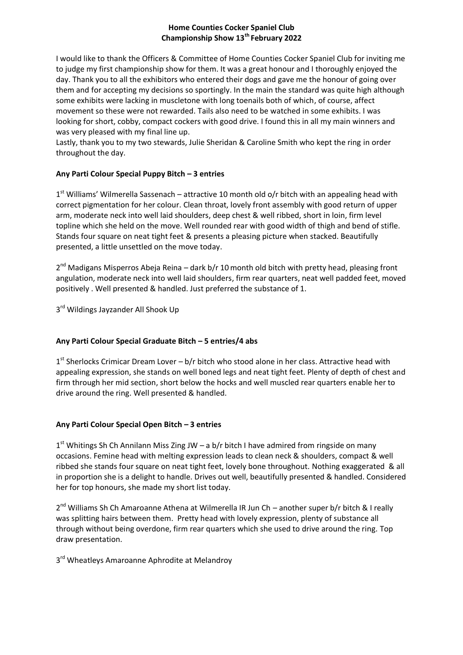## **Home Counties Cocker Spaniel Club Championship Show 13th February 2022**

I would like to thank the Officers & Committee of Home Counties Cocker Spaniel Club for inviting me to judge my first championship show for them. It was a great honour and I thoroughly enjoyed the day. Thank you to all the exhibitors who entered their dogs and gave me the honour of going over them and for accepting my decisions so sportingly. In the main the standard was quite high although some exhibits were lacking in muscletone with long toenails both of which, of course, affect movement so these were not rewarded. Tails also need to be watched in some exhibits. I was looking for short, cobby, compact cockers with good drive. I found this in all my main winners and was very pleased with my final line up.

Lastly, thank you to my two stewards, Julie Sheridan & Caroline Smith who kept the ring in order throughout the day.

# **Any Parti Colour Special Puppy Bitch – 3 entries**

1<sup>st</sup> Williams' Wilmerella Sassenach – attractive 10 month old o/r bitch with an appealing head with correct pigmentation for her colour. Clean throat, lovely front assembly with good return of upper arm, moderate neck into well laid shoulders, deep chest & well ribbed, short in loin, firm level topline which she held on the move. Well rounded rear with good width of thigh and bend of stifle. Stands four square on neat tight feet & presents a pleasing picture when stacked. Beautifully presented, a little unsettled on the move today.

2<sup>nd</sup> Madigans Misperros Abeja Reina – dark b/r 10 month old bitch with pretty head, pleasing front angulation, moderate neck into well laid shoulders, firm rear quarters, neat well padded feet, moved positively . Well presented & handled. Just preferred the substance of 1.

3<sup>rd</sup> Wildings Jayzander All Shook Up

# **Any Parti Colour Special Graduate Bitch – 5 entries/4 abs**

1<sup>st</sup> Sherlocks Crimicar Dream Lover – b/r bitch who stood alone in her class. Attractive head with appealing expression, she stands on well boned legs and neat tight feet. Plenty of depth of chest and firm through her mid section, short below the hocks and well muscled rear quarters enable her to drive around the ring. Well presented & handled.

## **Any Parti Colour Special Open Bitch – 3 entries**

1<sup>st</sup> Whitings Sh Ch Annilann Miss Zing JW - a b/r bitch I have admired from ringside on many occasions. Femine head with melting expression leads to clean neck & shoulders, compact & well ribbed she stands four square on neat tight feet, lovely bone throughout. Nothing exaggerated & all in proportion she is a delight to handle. Drives out well, beautifully presented & handled. Considered her for top honours, she made my short list today.

2<sup>nd</sup> Williams Sh Ch Amaroanne Athena at Wilmerella IR Jun Ch - another super b/r bitch & I really was splitting hairs between them. Pretty head with lovely expression, plenty of substance all through without being overdone, firm rear quarters which she used to drive around the ring. Top draw presentation.

3<sup>rd</sup> Wheatleys Amaroanne Aphrodite at Melandroy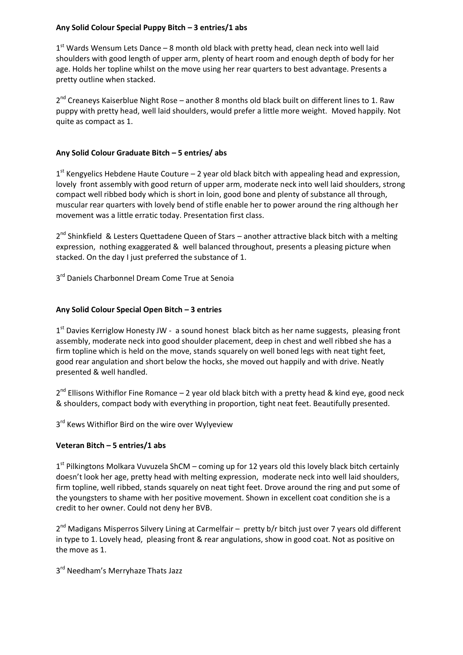## **Any Solid Colour Special Puppy Bitch – 3 entries/1 abs**

1<sup>st</sup> Wards Wensum Lets Dance - 8 month old black with pretty head, clean neck into well laid shoulders with good length of upper arm, plenty of heart room and enough depth of body for her age. Holds her topline whilst on the move using her rear quarters to best advantage. Presents a pretty outline when stacked.

2<sup>nd</sup> Creaneys Kaiserblue Night Rose – another 8 months old black built on different lines to 1. Raw puppy with pretty head, well laid shoulders, would prefer a little more weight. Moved happily. Not quite as compact as 1.

# **Any Solid Colour Graduate Bitch – 5 entries/ abs**

1<sup>st</sup> Kengyelics Hebdene Haute Couture - 2 year old black bitch with appealing head and expression, lovely front assembly with good return of upper arm, moderate neck into well laid shoulders, strong compact well ribbed body which is short in loin, good bone and plenty of substance all through, muscular rear quarters with lovely bend of stifle enable her to power around the ring although her movement was a little erratic today. Presentation first class.

2<sup>nd</sup> Shinkfield & Lesters Quettadene Queen of Stars - another attractive black bitch with a melting expression, nothing exaggerated & well balanced throughout, presents a pleasing picture when stacked. On the day I just preferred the substance of 1.

3<sup>rd</sup> Daniels Charbonnel Dream Come True at Senoia

# **Any Solid Colour Special Open Bitch – 3 entries**

1<sup>st</sup> Davies Kerriglow Honesty JW - a sound honest black bitch as her name suggests, pleasing front assembly, moderate neck into good shoulder placement, deep in chest and well ribbed she has a firm topline which is held on the move, stands squarely on well boned legs with neat tight feet, good rear angulation and short below the hocks, she moved out happily and with drive. Neatly presented & well handled.

 $2^{nd}$  Ellisons Withiflor Fine Romance  $-2$  year old black bitch with a pretty head & kind eye, good neck & shoulders, compact body with everything in proportion, tight neat feet. Beautifully presented.

3<sup>rd</sup> Kews Withiflor Bird on the wire over Wylyeview

## **Veteran Bitch – 5 entries/1 abs**

1<sup>st</sup> Pilkingtons Molkara Vuvuzela ShCM – coming up for 12 years old this lovely black bitch certainly doesn't look her age, pretty head with melting expression, moderate neck into well laid shoulders, firm topline, well ribbed, stands squarely on neat tight feet. Drove around the ring and put some of the youngsters to shame with her positive movement. Shown in excellent coat condition she is a credit to her owner. Could not deny her BVB.

2<sup>nd</sup> Madigans Misperros Silvery Lining at Carmelfair - pretty b/r bitch just over 7 years old different in type to 1. Lovely head, pleasing front & rear angulations, show in good coat. Not as positive on the move as 1.

3<sup>rd</sup> Needham's Merryhaze Thats Jazz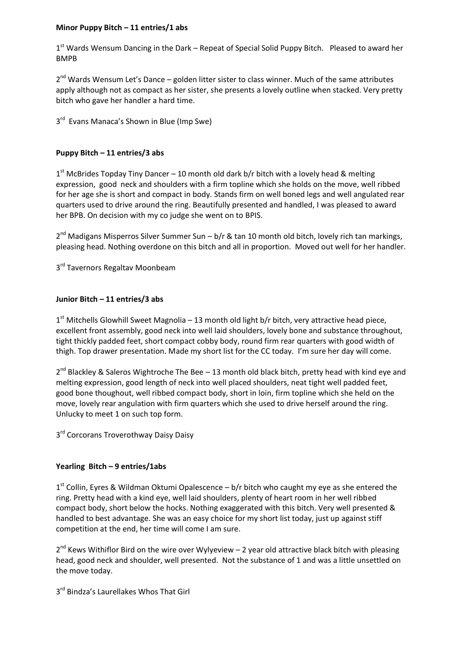### **Minor Puppy Bitch – 11 entries/1 abs**

1<sup>st</sup> Wards Wensum Dancing in the Dark - Repeat of Special Solid Puppy Bitch. Pleased to award her BMPB

2<sup>nd</sup> Wards Wensum Let's Dance – golden litter sister to class winner. Much of the same attributes apply although not as compact as her sister, she presents a lovely outline when stacked. Very pretty bitch who gave her handler a hard time.

3<sup>rd</sup> Evans Manaca's Shown in Blue (Imp Swe)

### **Puppy Bitch – 11 entries/3 abs**

 $1<sup>st</sup>$  McBrides Topday Tiny Dancer – 10 month old dark b/r bitch with a lovely head & melting expression, good neck and shoulders with a firm topline which she holds on the move, well ribbed for her age she is short and compact in body. Stands firm on well boned legs and well angulated rear quarters used to drive around the ring. Beautifully presented and handled, I was pleased to award her BPB. On decision with my co judge she went on to BPIS.

2<sup>nd</sup> Madigans Misperros Silver Summer Sun – b/r & tan 10 month old bitch, lovely rich tan markings, pleasing head. Nothing overdone on this bitch and all in proportion. Moved out well for her handler.

3<sup>rd</sup> Tavernors Regaltav Moonbeam

### **Junior Bitch – 11 entries/3 abs**

 $1<sup>st</sup>$  Mitchells Glowhill Sweet Magnolia – 13 month old light b/r bitch, very attractive head piece, excellent front assembly, good neck into well laid shoulders, lovely bone and substance throughout, tight thickly padded feet, short compact cobby body, round firm rear quarters with good width of thigh. Top drawer presentation. Made my short list for the CC today. I'm sure her day will come.

2<sup>nd</sup> Blackley & Saleros Wightroche The Bee - 13 month old black bitch, pretty head with kind eye and melting expression, good length of neck into well placed shoulders, neat tight well padded feet, good bone thoughout, well ribbed compact body, short in loin, firm topline which she held on the move, lovely rear angulation with firm quarters which she used to drive herself around the ring. Unlucky to meet 1 on such top form.

3<sup>rd</sup> Corcorans Troverothway Daisy Daisy

## **Yearling Bitch – 9 entries/1abs**

1<sup>st</sup> Collin, Eyres & Wildman Oktumi Opalescence - b/r bitch who caught my eye as she entered the ring. Pretty head with a kind eye, well laid shoulders, plenty of heart room in her well ribbed compact body, short below the hocks. Nothing exaggerated with this bitch. Very well presented & handled to best advantage. She was an easy choice for my short list today, just up against stiff competition at the end, her time will come I am sure.

 $2^{nd}$  Kews Withiflor Bird on the wire over Wylyeview  $-2$  year old attractive black bitch with pleasing head, good neck and shoulder, well presented. Not the substance of 1 and was a little unsettled on the move today.

3<sup>rd</sup> Bindza's Laurellakes Whos That Girl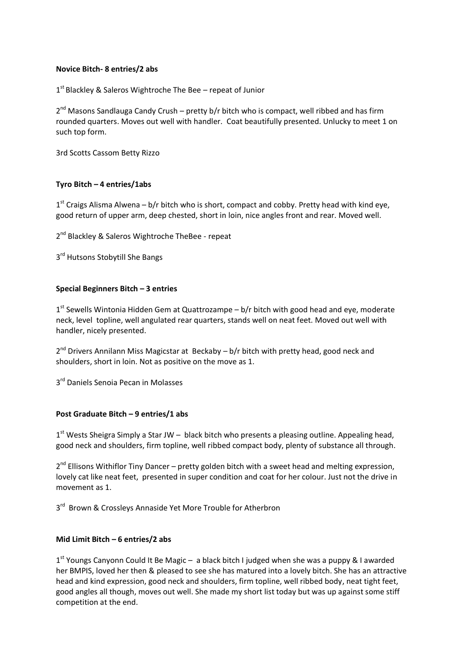### **Novice Bitch- 8 entries/2 abs**

1<sup>st</sup> Blackley & Saleros Wightroche The Bee - repeat of Junior

2<sup>nd</sup> Masons Sandlauga Candy Crush – pretty b/r bitch who is compact, well ribbed and has firm rounded quarters. Moves out well with handler. Coat beautifully presented. Unlucky to meet 1 on such top form.

3rd Scotts Cassom Betty Rizzo

### **Tyro Bitch – 4 entries/1abs**

1<sup>st</sup> Craigs Alisma Alwena – b/r bitch who is short, compact and cobby. Pretty head with kind eye, good return of upper arm, deep chested, short in loin, nice angles front and rear. Moved well.

2<sup>nd</sup> Blackley & Saleros Wightroche TheBee - repeat

3<sup>rd</sup> Hutsons Stobytill She Bangs

### **Special Beginners Bitch – 3 entries**

1<sup>st</sup> Sewells Wintonia Hidden Gem at Quattrozampe - b/r bitch with good head and eye, moderate neck, level topline, well angulated rear quarters, stands well on neat feet. Moved out well with handler, nicely presented.

2<sup>nd</sup> Drivers Annilann Miss Magicstar at Beckaby - b/r bitch with pretty head, good neck and shoulders, short in loin. Not as positive on the move as 1.

3<sup>rd</sup> Daniels Senoia Pecan in Molasses

#### **Post Graduate Bitch – 9 entries/1 abs**

1<sup>st</sup> Wests Sheigra Simply a Star JW - black bitch who presents a pleasing outline. Appealing head, good neck and shoulders, firm topline, well ribbed compact body, plenty of substance all through.

2<sup>nd</sup> Ellisons Withiflor Tiny Dancer – pretty golden bitch with a sweet head and melting expression, lovely cat like neat feet, presented in super condition and coat for her colour. Just not the drive in movement as 1.

3<sup>rd</sup> Brown & Crossleys Annaside Yet More Trouble for Atherbron

#### **Mid Limit Bitch – 6 entries/2 abs**

1<sup>st</sup> Youngs Canyonn Could It Be Magic - a black bitch I judged when she was a puppy & I awarded her BMPIS, loved her then & pleased to see she has matured into a lovely bitch. She has an attractive head and kind expression, good neck and shoulders, firm topline, well ribbed body, neat tight feet, good angles all though, moves out well. She made my short list today but was up against some stiff competition at the end.